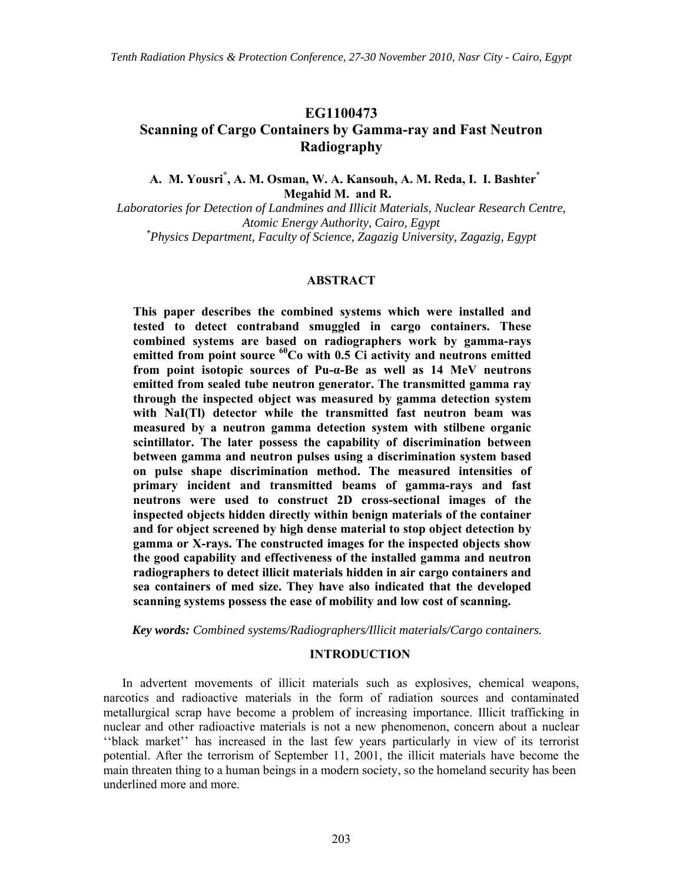# **EG1100473 Scanning of Cargo Containers by Gamma-ray and Fast Neutron Radiography**

**A. M. Yousri\* , A. M. Osman, W. A. Kansouh, A. M. Reda, I. I. Bashter\* Megahid M. and R.**

*Laboratories for Detection of Landmines and Illicit Materials, Nuclear Research Centre, Atomic Energy Authority, Cairo, Egypt \* Physics Department, Faculty of Science, Zagazig University, Zagazig, Egypt*

### **ABSTRACT**

**This paper describes the combined systems which were installed and tested to detect contraband smuggled in cargo containers. These combined systems are based on radiographers work by gamma-rays**  emitted from point source <sup>60</sup>Co with 0.5 Ci activity and neutrons emitted **from point isotopic sources of Pu-α-Be as well as 14 MeV neutrons emitted from sealed tube neutron generator. The transmitted gamma ray through the inspected object was measured by gamma detection system with NaI(Tl) detector while the transmitted fast neutron beam was measured by a neutron gamma detection system with stilbene organic scintillator. The later possess the capability of discrimination between between gamma and neutron pulses using a discrimination system based on pulse shape discrimination method. The measured intensities of primary incident and transmitted beams of gamma-rays and fast neutrons were used to construct 2D cross-sectional images of the inspected objects hidden directly within benign materials of the container and for object screened by high dense material to stop object detection by gamma or X-rays. The constructed images for the inspected objects show the good capability and effectiveness of the installed gamma and neutron radiographers to detect illicit materials hidden in air cargo containers and sea containers of med size. They have also indicated that the developed scanning systems possess the ease of mobility and low cost of scanning.** 

*Key words: Combined systems/Radiographers/Illicit materials/Cargo containers.* 

#### **INTRODUCTION**

 In advertent movements of illicit materials such as explosives, chemical weapons, narcotics and radioactive materials in the form of radiation sources and contaminated metallurgical scrap have become a problem of increasing importance. Illicit trafficking in nuclear and other radioactive materials is not a new phenomenon, concern about a nuclear ''black market'' has increased in the last few years particularly in view of its terrorist potential. After the terrorism of September 11, 2001, the illicit materials have become the main threaten thing to a human beings in a modern society, so the homeland security has been underlined more and more.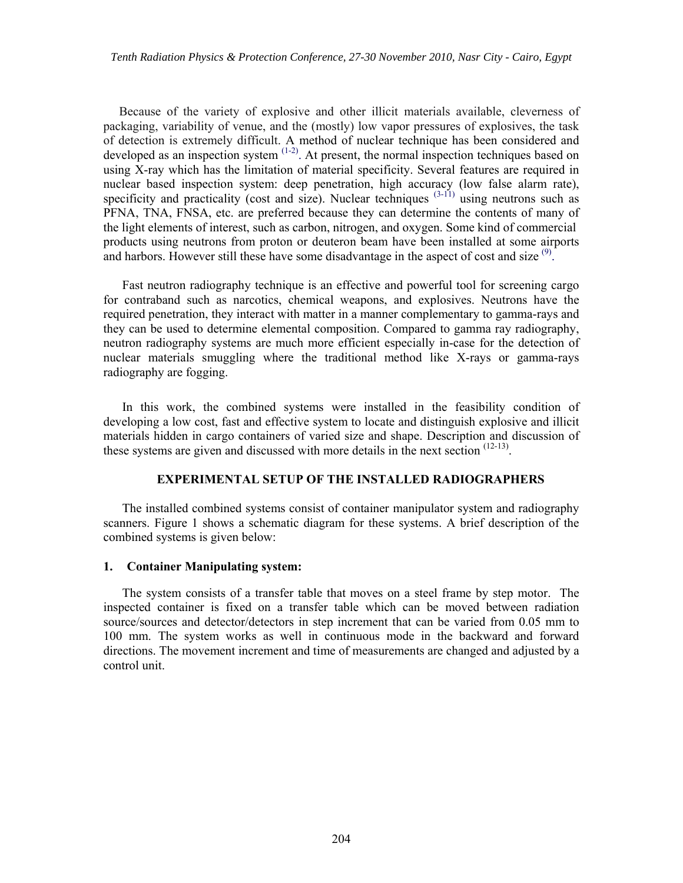Because of the variety of explosive and other illicit materials available, cleverness of packaging, variability of venue, and the (mostly) low vapor pressures of explosives, the task of detection is extremely difficult. A method of nuclear technique has been considered and developed as an inspection system  $(1-2)$ . At present, the normal inspection techniques based on using X-ray which has the limitation of material specificity. Several features are required in nuclear based inspection system: deep penetration, high accuracy (low false alarm rate), specificity and practicality (cost and size). Nuclear techniques  $(3-11)$  using neutrons such as PFNA, TNA, FNSA, etc. are preferred because they can determine the contents of many of the light elements of interest, such as carbon, nitrogen, and oxygen. Some kind of commercial products using neutrons from proton or deuteron beam have been installed at some airports and harbors. However still these have some disadvantage in the aspect of cost and size  $^{(9)}$ .

Fast neutron radiography technique is an effective and powerful tool for screening cargo for contraband such as narcotics, chemical weapons, and explosives. Neutrons have the required penetration, they interact with matter in a manner complementary to gamma -rays and they can be used to determine elemental composition. Compared to gamma ray radiography, neutron radiography systems are much more efficient especially in-case for the detection of nuclear materials smuggling where the traditional method like X-rays or gamma-rays radiography are fogging.

In this work, the combined systems were installed in the feasibility condition of developing a low cost, fast and effective system to locate and distinguish explosive and illicit materials hidden in cargo containers of varied size and shape. Description and discussion of these systems are given and discussed with more details in the next section  $(12-13)$ .

### **EXPERIMENTAL SETUP OF THE INSTALLED RADIOGRAPHERS**

The installed combined systems consist of container manipulator system and radiography scanners. Figure 1 shows a schematic diagram for these systems. A brief description of the combined systems is given below:

### **1. Container Manipulating system:**

 The system consists of a transfer table that moves on a steel frame by step motor. The inspected container is fixed on a transfer table which can be moved between radiation source/sources and detector/detectors in step increment that can be varied from 0.05 mm to 100 mm. The system works as well in continuous mode in the backward and forward directions. The movement increment and time of measurements are changed and adjusted by a control unit.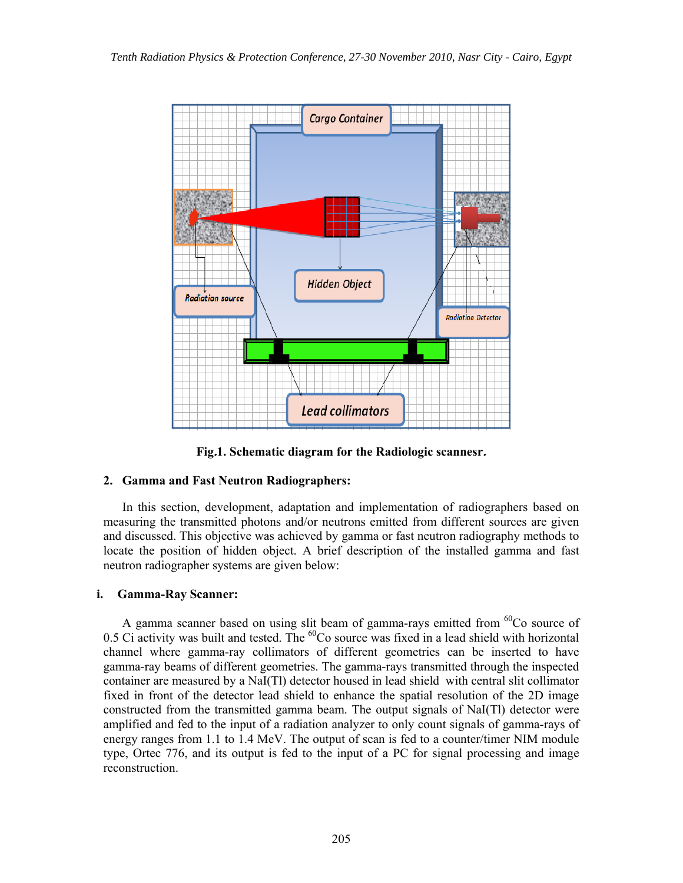

**Fig.1. Schematic diagram for the Radiologic scannesr.**

## **2. Gamma and Fast Neutron Radiographers:**

In this section, development, adaptation and implementation of radiographers based on measuring the transmitted photons and/or neutrons emitted from different sources are given and discussed. This objective was achieved by gamma or fast neutron radiography methods to locate the position of hidden object. A brief description of the installed gamma and fast neutron radiographer systems are given below:

## **i. Gamma-Ray Scanner:**

A gamma scanner based on using slit beam of gamma-rays emitted from <sup>60</sup>Co source of 0.5 Ci activity was built and tested. The  ${}^{60}Co$  source was fixed in a lead shield with horizontal channel where gamma -ray collimators of different geometries can be inserted to have gamma-ray beams of different geometries. The gamma-rays transmitted through the inspected container are measured by a NaI(Tl) detector housed in lead shield with central slit collimator fixed in front of the detector lead shield to enhance the spatial resolution of the 2D image constructed from the transmitted gamma beam. The output signals of NaI(Tl) detector were amplified and fed to the input of a radiation analyzer to only count signals of gamma-rays of energy ranges from 1.1 to 1.4 MeV. The output of scan is fed to a counter/timer NIM module type, Ortec 776, and its output is fed to the input of a PC for signal processing and image reconstruction.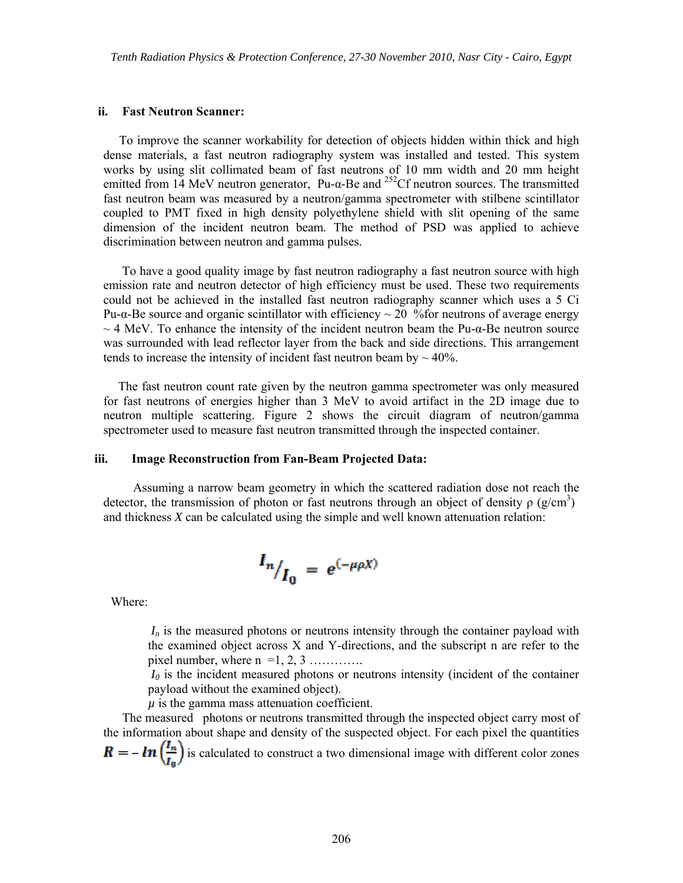#### **ii. Fast Neutron Scanner:**

 To improve the scanner workability for detection of objects hidden within thick and high dense materials, a fast neutron radiography system was installed and tested. This system works by using slit collimated beam of fast neutrons of 10 mm width and 20 mm height emitted from 14 MeV neutron generator, Pu- $\alpha$ -Be and <sup>252</sup>Cf neutron sources. The transmitted fast neutron beam was measured by a neutron/gamma spectrometer with stilbene scintillator coupled to PMT fixed in high density polyethylene shield with slit opening of the same dimension of the incident neutron beam. The method of PSD was applied to achieve discrimination between neutron and gamma pulses.

 To have a good quality image by fast neutron radiography a fast neutron source with high emission rate and neutron detector of high efficiency must be used. These two requirements could not be achieved in the installed fast neutron radiography scanner which uses a 5 Ci Pu-α-Be source and organic scintillator with efficiency  $\sim$  20 % for neutrons of average energy  $\sim$  4 MeV. To enhance the intensity of the incident neutron beam the Pu- $\alpha$ -Be neutron source was surrounded with lead reflector layer from the back and side directions. This arrangement tends to increase the intensity of incident fast neutron beam by  $\sim$  40%.

The fast neutron count rate given by the neutron gamma spectrometer was only measured for fast neutrons of energies higher than 3 MeV to avoid artifact in the 2D image due to neutron multiple scattering. Figure 2 shows the circuit diagram of neutron/gamma spectrometer used to measure fast neutron transmitted through the inspected container.

### **iii. Image Reconstruction from Fan-Beam Projected Data:**

 Assuming a narrow beam geometry in which the scattered radiation dose not reach the detector, the transmission of photon or fast neutrons through an object of density  $\rho$  (g/cm<sup>3</sup>) and thickness *X* can be calculated using the simple and well known attenuation relation:

$$
I_n/_{I_0} = e^{(-\mu \rho X)}
$$

Where:

 $I_n$  is the measured photons or neutrons intensity through the container payload with the examined object across X and Y-directions, and the subscript n are refer to the pixel number, where  $n = 1, 2, 3$  .............

 $I_0$  is the incident measured photons or neutrons intensity (incident of the container payload without the examined object).

 $\mu$  is the gamma mass attenuation coefficient.

 The measured photons or neutrons transmitted through the inspected object carry most of the information about shape and density of the suspected object. For each pixel the quantities  $\mathbf{R} = -\ln\left(\frac{I_n}{I_n}\right)$  is calculated to construct a two dimensional image with different color zones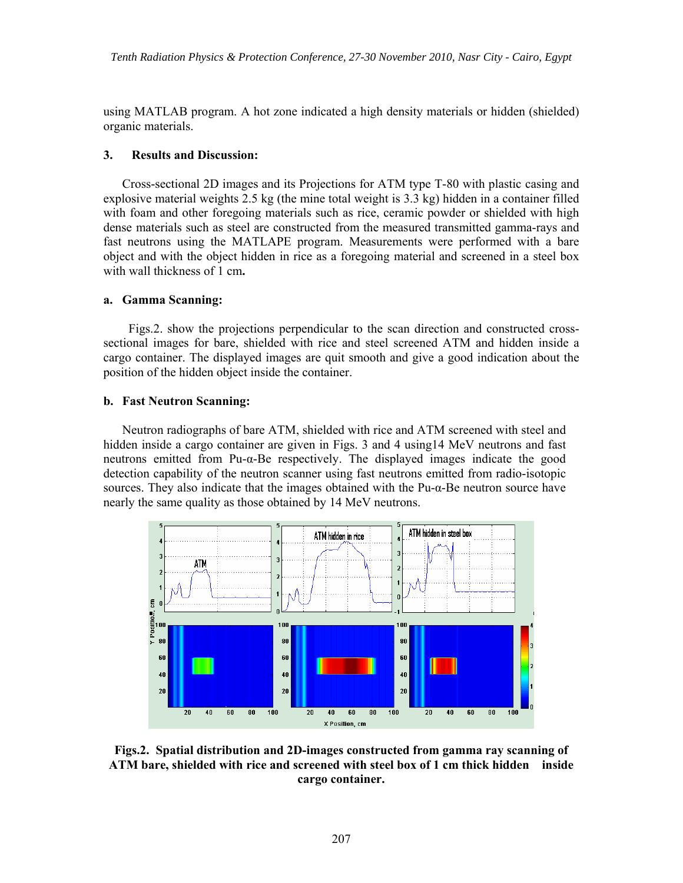using MATLAB program. A hot zone indicated a high density materials or hidden (shielded) organic materials.

## **3. Results and Discussion:**

Cross-sectional 2D images and its Projections for ATM type T-80 with plastic casing and explosive material weights 2.5 kg (the mine total weight is 3.3 kg) hidden in a container filled with foam and other foregoing materials such as rice, ceramic powder or shielded with high dense materials such as steel are constructed from the measured transmitted gamma -rays and fast neutrons using the MATLAPE program. Measurements were performed with a bare object and with the object hidden in rice as a foregoing material and screened in a steel box with wall thickness of 1 cm**.**

## **a. Gamma Scanning:**

 Figs.2. show the projections perpendicular to the scan direction and constructed crosssectional images for bare, shielded with rice and steel screened ATM and hidden inside a cargo container. The displayed images are quit smooth and give a good indication about the position of the hidden object inside the container.

## **b. Fast Neutron Scanning:**

 Neutron radiographs of bare ATM, shielded with rice and ATM screened with steel and hidden inside a cargo container are given in Figs. 3 and 4 using 14 MeV neutrons and fast neutrons emitted from Pu-α-Be respectively. The displayed images indicate the good detection capability of the neutron scanner using fast neutrons emitted from radio-isotopic sources. They also indicate that the images obtained with the Pu-α-Be neutron source have nearly the same quality as those obtained by 14 MeV neutrons.



**Figs.2. Spatial distribution and 2D-images constructed from gamma ray scanning of ATM bare, shielded with rice and screened with steel box of 1 cm thick hidden inside cargo container.**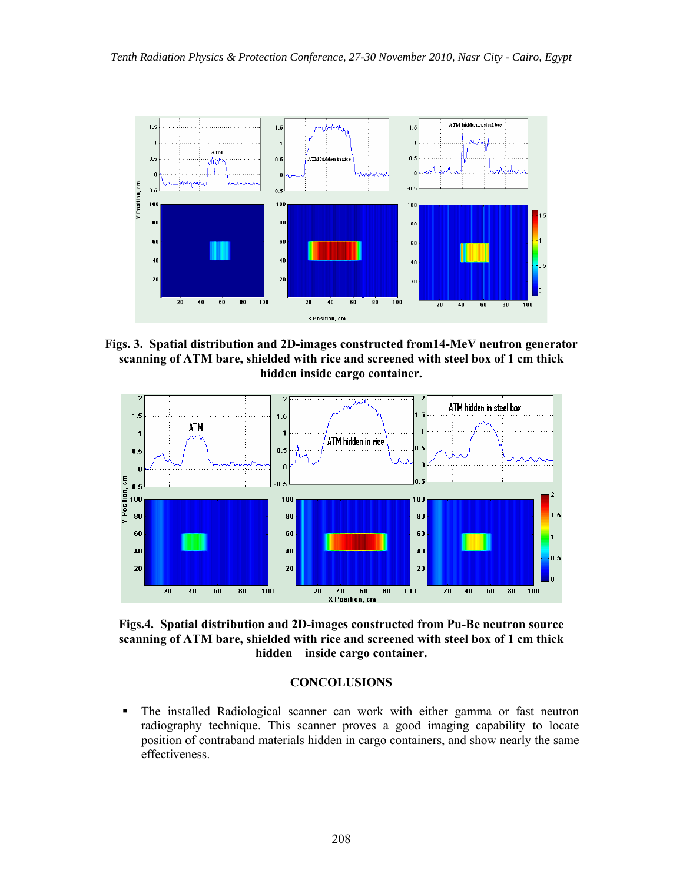

**Figs. 3. Spatial distribution and 2D-images constructed from14-MeV neutron generator scanning of ATM bare, shielded with rice and screened with steel box of 1 cm thick hidden inside cargo container.** 



**Figs.4. Spatial distribution and 2D-images constructed from Pu-Be neutron source scanning of ATM bare, shielded with rice and screened with steel box of 1 cm thick hidden inside cargo container.** 

## **CONCOLUSIONS**

 The installed Radiological scanner can work with either gamma or fast neutron radiography technique. This scanner proves a good imaging capability to locate position of contraband materials hidden in cargo containers, and show nearly the same effectiveness.